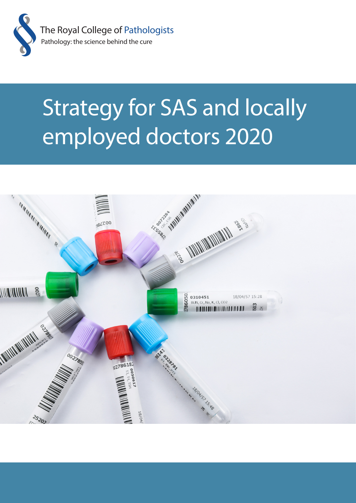

# Strategy for SAS and locally employed doctors 2020

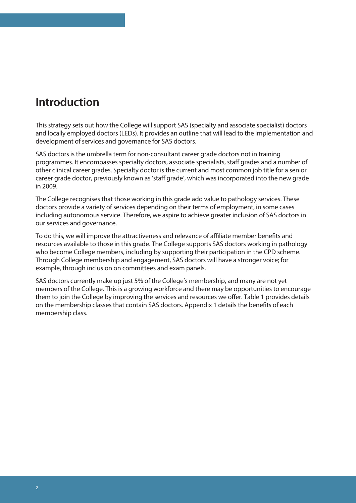#### **Introduction**

This strategy sets out how the College will support SAS (specialty and associate specialist) doctors and locally employed doctors (LEDs). It provides an outline that will lead to the implementation and development of services and governance for SAS doctors.

SAS doctors is the umbrella term for non-consultant career grade doctors not in training programmes. It encompasses specialty doctors, associate specialists, staff grades and a number of other clinical career grades. Specialty doctor is the current and most common job title for a senior career grade doctor, previously known as 'staff grade', which was incorporated into the new grade in 2009.

The College recognises that those working in this grade add value to pathology services. These doctors provide a variety of services depending on their terms of employment, in some cases including autonomous service. Therefore, we aspire to achieve greater inclusion of SAS doctors in our services and governance.

To do this, we will improve the attractiveness and relevance of affiliate member benefits and resources available to those in this grade. The College supports SAS doctors working in pathology who become College members, including by supporting their participation in the CPD scheme. Through College membership and engagement, SAS doctors will have a stronger voice; for example, through inclusion on committees and exam panels.

SAS doctors currently make up just 5% of the College's membership, and many are not yet members of the College. This is a growing workforce and there may be opportunities to encourage them to join the College by improving the services and resources we offer. Table 1 provides details on the membership classes that contain SAS doctors. Appendix 1 details the benefits of each membership class.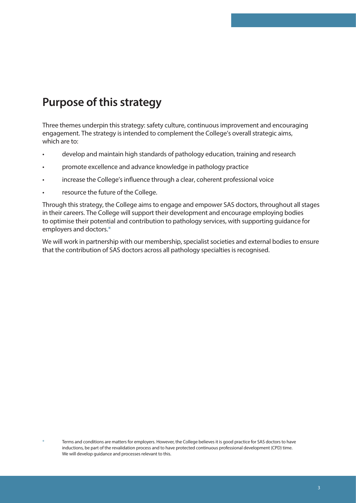## **Purpose of this strategy**

Three themes underpin this strategy: safety culture, continuous improvement and encouraging engagement. The strategy is intended to complement the College's overall strategic aims, which are to:

- develop and maintain high standards of pathology education, training and research
- promote excellence and advance knowledge in pathology practice
- increase the College's influence through a clear, coherent professional voice
- resource the future of the College.

Through this strategy, the College aims to engage and empower SAS doctors, throughout all stages in their careers. The College will support their development and encourage employing bodies to optimise their potential and contribution to pathology services, with supporting guidance for employers and doctors.\*

We will work in partnership with our membership, specialist societies and external bodies to ensure that the contribution of SAS doctors across all pathology specialties is recognised.

Terms and conditions are matters for employers. However, the College believes it is good practice for SAS doctors to have inductions, be part of the revalidation process and to have protected continuous professional development (CPD) time. We will develop guidance and processes relevant to this.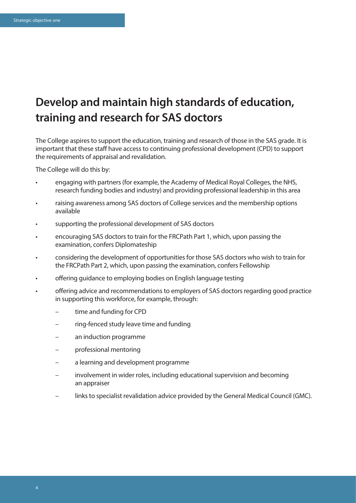### **Develop and maintain high standards of education, training and research for SAS doctors**

The College aspires to support the education, training and research of those in the SAS grade. It is important that these staff have access to continuing professional development (CPD) to support the requirements of appraisal and revalidation.

- engaging with partners (for example, the Academy of Medical Royal Colleges, the NHS, research funding bodies and industry) and providing professional leadership in this area
- raising awareness among SAS doctors of College services and the membership options available
- supporting the professional development of SAS doctors
- encouraging SAS doctors to train for the FRCPath Part 1, which, upon passing the examination, confers Diplomateship
- considering the development of opportunities for those SAS doctors who wish to train for the FRCPath Part 2, which, upon passing the examination, confers Fellowship
- offering guidance to employing bodies on English language testing
- offering advice and recommendations to employers of SAS doctors regarding good practice in supporting this workforce, for example, through:
	- time and funding for CPD
	- ring-fenced study leave time and funding
	- an induction programme
	- professional mentoring
	- a learning and development programme
	- involvement in wider roles, including educational supervision and becoming an appraiser
	- links to specialist revalidation advice provided by the General Medical Council (GMC).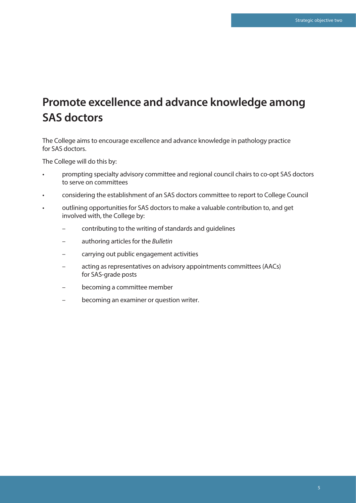### **Promote excellence and advance knowledge among SAS doctors**

The College aims to encourage excellence and advance knowledge in pathology practice for SAS doctors.

- prompting specialty advisory committee and regional council chairs to co-opt SAS doctors to serve on committees
- considering the establishment of an SAS doctors committee to report to College Council
- outlining opportunities for SAS doctors to make a valuable contribution to, and get involved with, the College by:
	- contributing to the writing of standards and guidelines
	- authoring articles for the *Bulletin*
	- carrying out public engagement activities
	- acting as representatives on advisory appointments committees (AACs) for SAS-grade posts
	- becoming a committee member
	- becoming an examiner or question writer.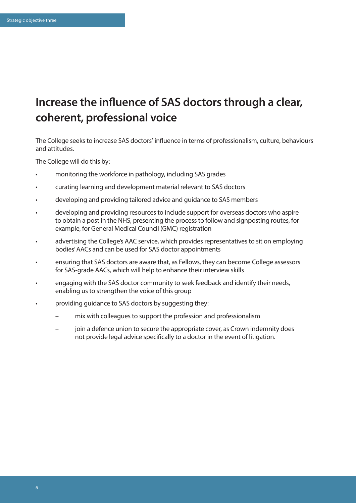## **Increase the influence of SAS doctors through a clear, coherent, professional voice**

The College seeks to increase SAS doctors' influence in terms of professionalism, culture, behaviours and attitudes.

- monitoring the workforce in pathology, including SAS grades
- curating learning and development material relevant to SAS doctors
- developing and providing tailored advice and guidance to SAS members
- developing and providing resources to include support for overseas doctors who aspire to obtain a post in the NHS, presenting the process to follow and signposting routes, for example, for General Medical Council (GMC) registration
- advertising the College's AAC service, which provides representatives to sit on employing bodies' AACs and can be used for SAS doctor appointments
- ensuring that SAS doctors are aware that, as Fellows, they can become College assessors for SAS-grade AACs, which will help to enhance their interview skills
- engaging with the SAS doctor community to seek feedback and identify their needs, enabling us to strengthen the voice of this group
- providing guidance to SAS doctors by suggesting they:
	- mix with colleagues to support the profession and professionalism
	- join a defence union to secure the appropriate cover, as Crown indemnity does not provide legal advice specifically to a doctor in the event of litigation.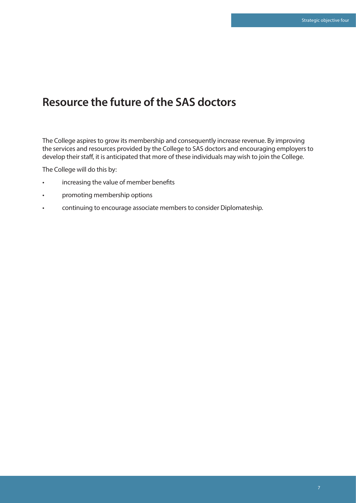#### **Resource the future of the SAS doctors**

The College aspires to grow its membership and consequently increase revenue. By improving the services and resources provided by the College to SAS doctors and encouraging employers to develop their staff, it is anticipated that more of these individuals may wish to join the College.

- increasing the value of member benefits
- promoting membership options
- continuing to encourage associate members to consider Diplomateship.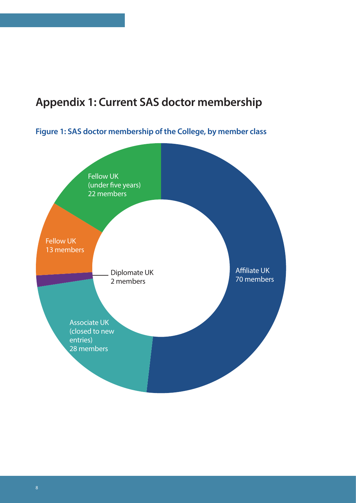### **Appendix 1: Current SAS doctor membership**

**Figure 1: SAS doctor membership of the College, by member class**

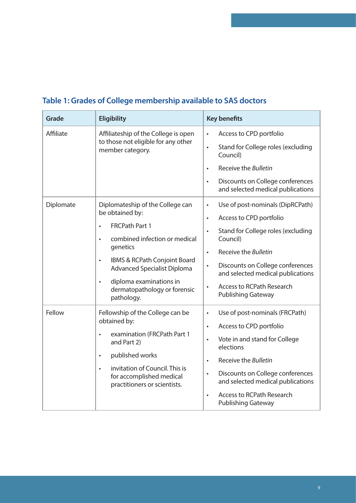| <b>Grade</b> | <b>Eligibility</b>                                                                                                                                                                                                                                                                                                           | <b>Key benefits</b>                                                                                                                                                                                                                                                                                                                                           |
|--------------|------------------------------------------------------------------------------------------------------------------------------------------------------------------------------------------------------------------------------------------------------------------------------------------------------------------------------|---------------------------------------------------------------------------------------------------------------------------------------------------------------------------------------------------------------------------------------------------------------------------------------------------------------------------------------------------------------|
| Affiliate    | Affiliateship of the College is open<br>to those not eligible for any other<br>member category.                                                                                                                                                                                                                              | Access to CPD portfolio<br>$\bullet$<br>Stand for College roles (excluding<br>$\bullet$<br>Council)<br>Receive the Bulletin<br>$\bullet$<br>Discounts on College conferences<br>$\bullet$<br>and selected medical publications                                                                                                                                |
| Diplomate    | Diplomateship of the College can<br>be obtained by:<br><b>FRCPath Part 1</b><br>$\bullet$<br>combined infection or medical<br>$\bullet$<br>genetics<br>IBMS & RCPath Conjoint Board<br>$\bullet$<br><b>Advanced Specialist Diploma</b><br>diploma examinations in<br>$\bullet$<br>dermatopathology or forensic<br>pathology. | Use of post-nominals (DipRCPath)<br>$\bullet$<br>Access to CPD portfolio<br>$\bullet$<br>Stand for College roles (excluding<br>$\bullet$<br>Council)<br>Receive the Bulletin<br>$\bullet$<br>Discounts on College conferences<br>$\bullet$<br>and selected medical publications<br><b>Access to RCPath Research</b><br>$\bullet$<br><b>Publishing Gateway</b> |
| Fellow       | Fellowship of the College can be<br>obtained by:<br>examination (FRCPath Part 1<br>$\bullet$<br>and Part 2)<br>published works<br>$\bullet$<br>invitation of Council. This is<br>$\bullet$<br>for accomplished medical<br>practitioners or scientists.                                                                       | Use of post-nominals (FRCPath)<br>$\bullet$<br>Access to CPD portfolio<br>$\bullet$<br>Vote in and stand for College<br>$\bullet$<br>elections<br>Receive the Bulletin<br>$\bullet$<br>Discounts on College conferences<br>$\bullet$<br>and selected medical publications<br><b>Access to RCPath Research</b><br>$\bullet$<br><b>Publishing Gateway</b>       |

#### **Table 1: Grades of College membership available to SAS doctors**